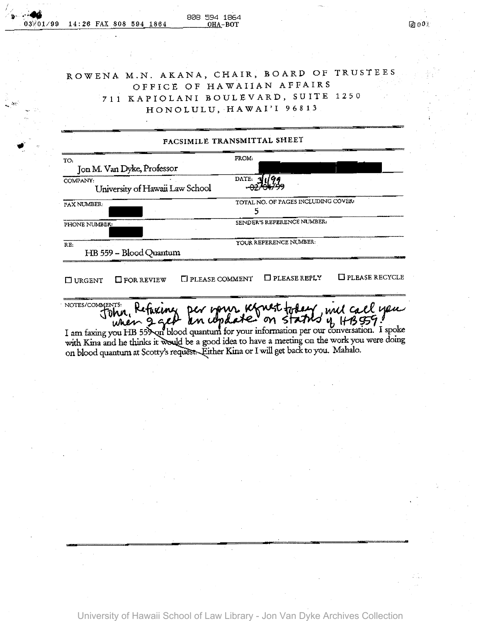## ROWENA M.N. AKANA, CHAIR, BOARD OF TRUSTEES OFFICE OF HAWAI1AN AFFAIRS 711 KAP10LANI BOULEVARD, SUITE 1250 HONOLULU,HAWAI'I96813

团000

| TO:                                         | FROM:                               |
|---------------------------------------------|-------------------------------------|
| Jon M. Van Dyke, Professor                  |                                     |
| COMPANY:<br>University of Hawaii Law School | DATE: 3                             |
| FAX NUMBER:                                 | TOTAL NO. OF PAGES INCLUDING COVER: |
| PHONE NUMBER:                               | SENDER'S REFERENCE NUMBER:          |
| RE:<br>HB 559 - Blood Quantum               | YOUR REFERENCE NUMBER:              |

NOTES/CONDENTS: Refuxing per your khoust today , und call you

I am faxing you HB 559 on blood quantum for your information per our conversation. I spoke with Kina and he thinks it would be a good idea to have a meeting on the work you were doing on blood quantum at Scotty's request. Either Kina or I will get back to you. Mahalo.

== **<sup>T</sup>**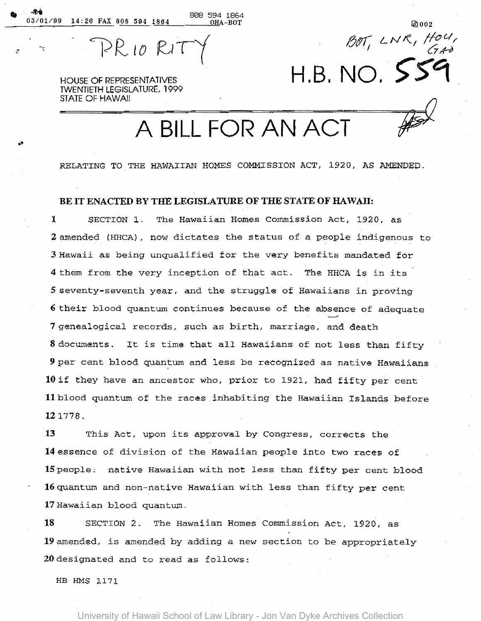03/01/99 14:26 FAX 808 594 1864

~.

 $EPR10R17$ 

*;;J,/lJ7 L N* !( *I flo* {./ *I' I:/V'/ 6#*  H.B. NO. *>S'4* 

HOUSE OF REPRESENTATIVES lWENTIETH LEGISLATURE, 1999 STATE OF HAWAII

<sup>A</sup>**BILL** FOR AN ACT p

808 594 1864<br><u>0HA-BOT</u> 141002

RELATING TO THE HAWAIIAN HOMES COMMISSION ACT, 1920, AS AMENDED.

## BE IT ENACTED BY THE LEGISLATURE OF THE STATE OF HAWAII:

1 SECTION 1. The Hawaiian Homes Commission Act, 1920, as 2 amended (HHCA), now dictates the status of a people indigenous to 3 Hawaii as being unqualified for the very benefits mandated for 4 them from the very inception of that act. The HHCA *is* in its 5 seventy-seventh year, and the struggle of Hawaiians ln proving 6 their blood quantum continues because of the absence of adequate 7 genealogical records, such as birth, marriage, and death 8 documents. It is time that all Hawaiians of not less than fifty 9 per cent blood quantum and less be recognized as native Hawaiians lOif they have an ancestor who, prior to 1921, had fifty per cent Ilblood quantum of the races inhabiting the Hawaiian Islands before 121778.

13 This Act, upon its approval by Congress, corrects the 14essence of division of the Hawaiian people into two races of ISpeople; native Hawaiian with not less than fifty per cent blood 16 quantum and non-native Hawaiian with less than fifty per cent 17 Hawaiian blood quantum.

18 SECTION 2. The Hawaiian Homes Commission Act, 1920, as 19 amended, is amended by adding a new section to be appropriately 20designated and to read as follows:

HB HMS 1171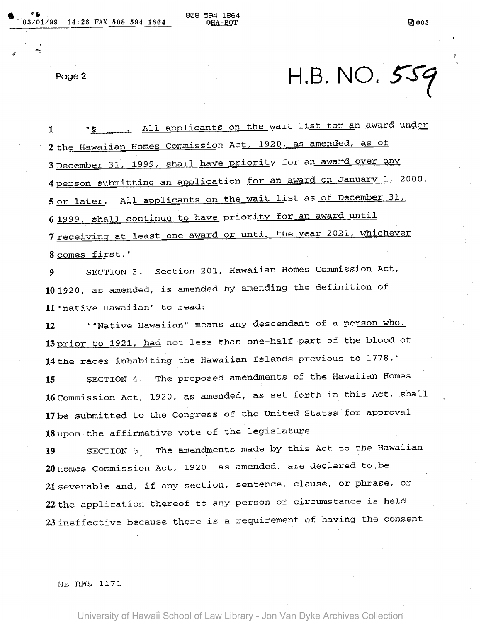Page 2

H.B. NO.  $559$ 

1 "S All applicants on the wait list for an award under 2 the Hawaiian Homes Commission Act, 1920, as amended, as of 3 December 31, 1999, shall have priority for an award over any 4 person submitting an application for an award on January 1, 2000, 5 or later. All applicants on the wait list as of December 31, 6 1999, shall continue to have priority for an award until 7 receiving at least one award or until the year 2021, whichever 8 comes first."

9 SECTION 3. Section 201, Hawaiian Homes Commission Act, 101920, as amended, is amended by amending the definition of **11** "native Hawaiian" to read;

12 **II** "Native Hawaiian" means any descendant of a person who, 13 prior to 1921, had not less than one-half part of the blood of 14the races inhabiting the Hawaiian Islands previous to 1778."

**15** SECTION 4. The proposed amendments of the Hawaiian Homes 16Commission Act, 1920, as amended, as set forth in this Act, shall 17be submitted to the Congress of the United States for approval 18upon the affirmative vote of the legislature.

19 SECTION 5. The amendments made by this Act to the Hawaiian 20Homes Commission Act, 1920, as amended, are declared tO,be 21 severable and, if any section, sentence, clause, or phrase, or 22 the application thereof to any person or circumstance is held 23ineffective because there is a requirement of having the consent

HB HMS 117l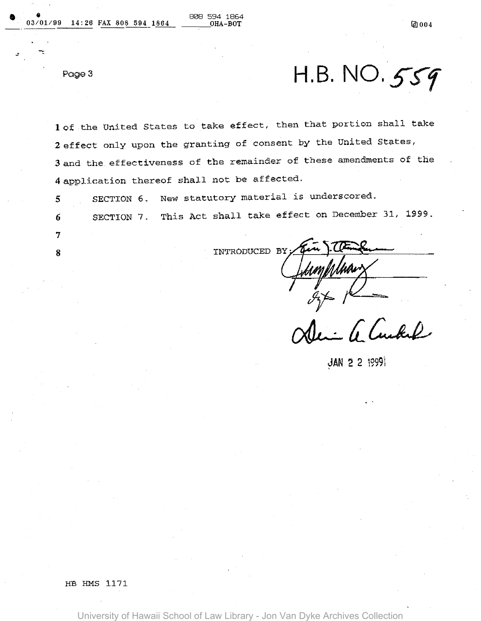7

8

Page 3 H.B. NO. 559

lof the United States to take effect, then that portion shall take 2 effect only upon the granting of consent by the United States, 3 and the effectiveness of the remainder of these amendments of the <sup>4</sup>application thereof shall not be affected.

5 SECTION 6. New statutory material is underscored.

6 SECTION 7. This Act shall take effect on December 3l, 1999.

INTRODUCED BY

mMMw

6 Cubel

~AN 2 2 i9991

HE EMS ll71